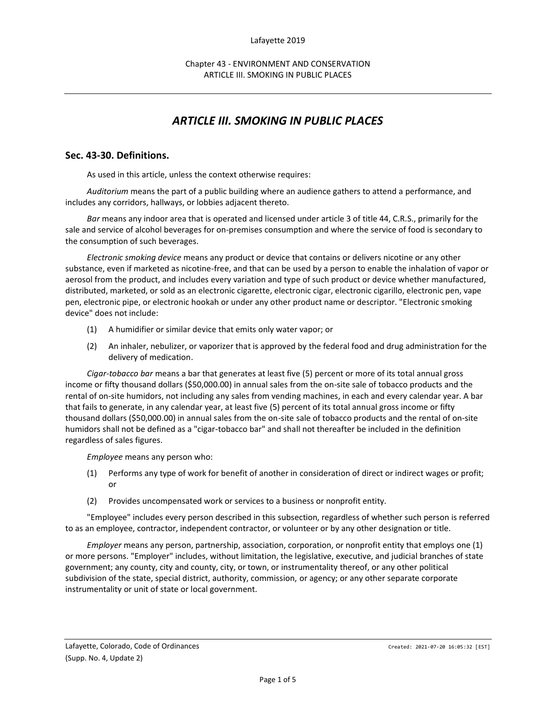# *ARTICLE III. SMOKING IN PUBLIC PLACES*

# **Sec. 43-30. Definitions.**

As used in this article, unless the context otherwise requires:

*Auditorium* means the part of a public building where an audience gathers to attend a performance, and includes any corridors, hallways, or lobbies adjacent thereto.

*Bar* means any indoor area that is operated and licensed under article 3 of title 44, C.R.S., primarily for the sale and service of alcohol beverages for on-premises consumption and where the service of food is secondary to the consumption of such beverages.

*Electronic smoking device* means any product or device that contains or delivers nicotine or any other substance, even if marketed as nicotine-free, and that can be used by a person to enable the inhalation of vapor or aerosol from the product, and includes every variation and type of such product or device whether manufactured, distributed, marketed, or sold as an electronic cigarette, electronic cigar, electronic cigarillo, electronic pen, vape pen, electronic pipe, or electronic hookah or under any other product name or descriptor. "Electronic smoking device" does not include:

- (1) A humidifier or similar device that emits only water vapor; or
- (2) An inhaler, nebulizer, or vaporizer that is approved by the federal food and drug administration for the delivery of medication.

*Cigar-tobacco bar* means a bar that generates at least five (5) percent or more of its total annual gross income or fifty thousand dollars (\$50,000.00) in annual sales from the on-site sale of tobacco products and the rental of on-site humidors, not including any sales from vending machines, in each and every calendar year. A bar that fails to generate, in any calendar year, at least five (5) percent of its total annual gross income or fifty thousand dollars (\$50,000.00) in annual sales from the on-site sale of tobacco products and the rental of on-site humidors shall not be defined as a "cigar-tobacco bar" and shall not thereafter be included in the definition regardless of sales figures.

*Employee* means any person who:

- (1) Performs any type of work for benefit of another in consideration of direct or indirect wages or profit; or
- (2) Provides uncompensated work or services to a business or nonprofit entity.

"Employee" includes every person described in this subsection, regardless of whether such person is referred to as an employee, contractor, independent contractor, or volunteer or by any other designation or title.

*Employer* means any person, partnership, association, corporation, or nonprofit entity that employs one (1) or more persons. "Employer" includes, without limitation, the legislative, executive, and judicial branches of state government; any county, city and county, city, or town, or instrumentality thereof, or any other political subdivision of the state, special district, authority, commission, or agency; or any other separate corporate instrumentality or unit of state or local government.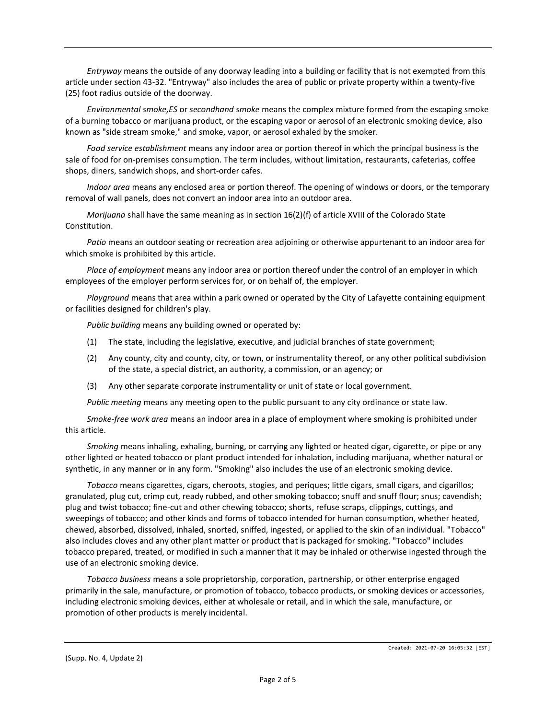*Entryway* means the outside of any doorway leading into a building or facility that is not exempted from this article under section 43-32. "Entryway" also includes the area of public or private property within a twenty-five (25) foot radius outside of the doorway.

*Environmental smoke,ES* or *secondhand smoke* means the complex mixture formed from the escaping smoke of a burning tobacco or marijuana product, or the escaping vapor or aerosol of an electronic smoking device, also known as "side stream smoke," and smoke, vapor, or aerosol exhaled by the smoker.

*Food service establishment* means any indoor area or portion thereof in which the principal business is the sale of food for on-premises consumption. The term includes, without limitation, restaurants, cafeterias, coffee shops, diners, sandwich shops, and short-order cafes.

*Indoor area* means any enclosed area or portion thereof. The opening of windows or doors, or the temporary removal of wall panels, does not convert an indoor area into an outdoor area.

*Marijuana* shall have the same meaning as in section 16(2)(f) of article XVIII of the Colorado State Constitution.

*Patio* means an outdoor seating or recreation area adjoining or otherwise appurtenant to an indoor area for which smoke is prohibited by this article.

*Place of employment* means any indoor area or portion thereof under the control of an employer in which employees of the employer perform services for, or on behalf of, the employer.

*Playground* means that area within a park owned or operated by the City of Lafayette containing equipment or facilities designed for children's play.

*Public building* means any building owned or operated by:

- (1) The state, including the legislative, executive, and judicial branches of state government;
- (2) Any county, city and county, city, or town, or instrumentality thereof, or any other political subdivision of the state, a special district, an authority, a commission, or an agency; or
- (3) Any other separate corporate instrumentality or unit of state or local government.

*Public meeting* means any meeting open to the public pursuant to any city ordinance or state law.

*Smoke-free work area* means an indoor area in a place of employment where smoking is prohibited under this article.

*Smoking* means inhaling, exhaling, burning, or carrying any lighted or heated cigar, cigarette, or pipe or any other lighted or heated tobacco or plant product intended for inhalation, including marijuana, whether natural or synthetic, in any manner or in any form. "Smoking" also includes the use of an electronic smoking device.

*Tobacco* means cigarettes, cigars, cheroots, stogies, and periques; little cigars, small cigars, and cigarillos; granulated, plug cut, crimp cut, ready rubbed, and other smoking tobacco; snuff and snuff flour; snus; cavendish; plug and twist tobacco; fine-cut and other chewing tobacco; shorts, refuse scraps, clippings, cuttings, and sweepings of tobacco; and other kinds and forms of tobacco intended for human consumption, whether heated, chewed, absorbed, dissolved, inhaled, snorted, sniffed, ingested, or applied to the skin of an individual. "Tobacco" also includes cloves and any other plant matter or product that is packaged for smoking. "Tobacco" includes tobacco prepared, treated, or modified in such a manner that it may be inhaled or otherwise ingested through the use of an electronic smoking device.

*Tobacco business* means a sole proprietorship, corporation, partnership, or other enterprise engaged primarily in the sale, manufacture, or promotion of tobacco, tobacco products, or smoking devices or accessories, including electronic smoking devices, either at wholesale or retail, and in which the sale, manufacture, or promotion of other products is merely incidental.

(Supp. No. 4, Update 2)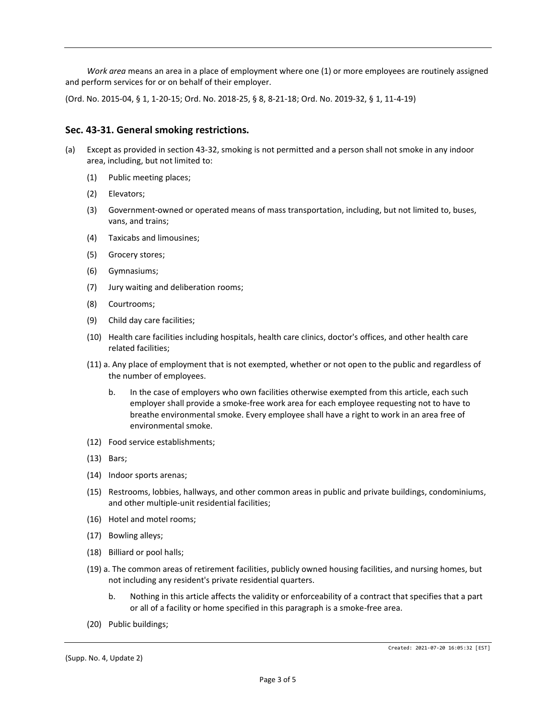*Work area* means an area in a place of employment where one (1) or more employees are routinely assigned and perform services for or on behalf of their employer.

(Ord. No. 2015-04, § 1, 1-20-15; Ord. No. 2018-25, § 8, 8-21-18; Ord. No. 2019-32, § 1, 11-4-19)

### **Sec. 43-31. General smoking restrictions.**

- (a) Except as provided in section 43-32, smoking is not permitted and a person shall not smoke in any indoor area, including, but not limited to:
	- (1) Public meeting places;
	- (2) Elevators;
	- (3) Government-owned or operated means of mass transportation, including, but not limited to, buses, vans, and trains;
	- (4) Taxicabs and limousines;
	- (5) Grocery stores;
	- (6) Gymnasiums;
	- (7) Jury waiting and deliberation rooms;
	- (8) Courtrooms;
	- (9) Child day care facilities;
	- (10) Health care facilities including hospitals, health care clinics, doctor's offices, and other health care related facilities;
	- (11) a. Any place of employment that is not exempted, whether or not open to the public and regardless of the number of employees.
		- b. In the case of employers who own facilities otherwise exempted from this article, each such employer shall provide a smoke-free work area for each employee requesting not to have to breathe environmental smoke. Every employee shall have a right to work in an area free of environmental smoke.
	- (12) Food service establishments;
	- (13) Bars;
	- (14) Indoor sports arenas;
	- (15) Restrooms, lobbies, hallways, and other common areas in public and private buildings, condominiums, and other multiple-unit residential facilities;
	- (16) Hotel and motel rooms;
	- (17) Bowling alleys;
	- (18) Billiard or pool halls;
	- (19) a. The common areas of retirement facilities, publicly owned housing facilities, and nursing homes, but not including any resident's private residential quarters.
		- b. Nothing in this article affects the validity or enforceability of a contract that specifies that a part or all of a facility or home specified in this paragraph is a smoke-free area.
	- (20) Public buildings;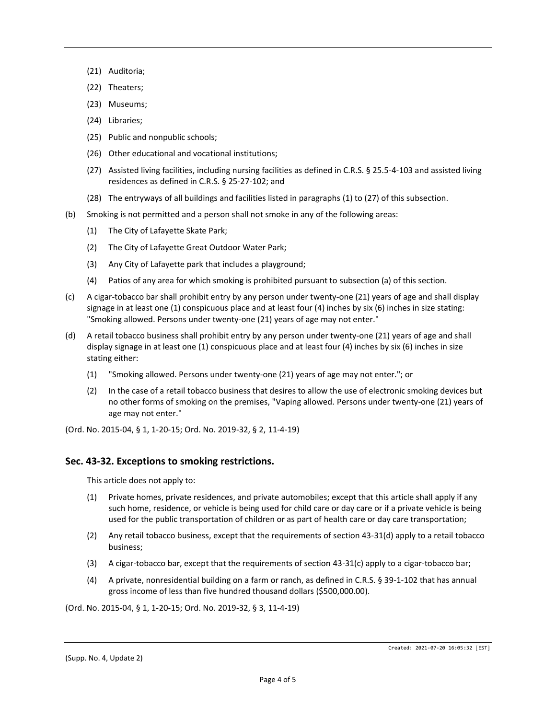- (21) Auditoria;
- (22) Theaters;
- (23) Museums;
- (24) Libraries;
- (25) Public and nonpublic schools;
- (26) Other educational and vocational institutions;
- (27) Assisted living facilities, including nursing facilities as defined in C.R.S. § 25.5-4-103 and assisted living residences as defined in C.R.S. § 25-27-102; and
- (28) The entryways of all buildings and facilities listed in paragraphs (1) to (27) of this subsection.
- (b) Smoking is not permitted and a person shall not smoke in any of the following areas:
	- (1) The City of Lafayette Skate Park;
	- (2) The City of Lafayette Great Outdoor Water Park;
	- (3) Any City of Lafayette park that includes a playground;
	- (4) Patios of any area for which smoking is prohibited pursuant to subsection (a) of this section.
- (c) A cigar-tobacco bar shall prohibit entry by any person under twenty-one (21) years of age and shall display signage in at least one (1) conspicuous place and at least four (4) inches by six (6) inches in size stating: "Smoking allowed. Persons under twenty-one (21) years of age may not enter."
- (d) A retail tobacco business shall prohibit entry by any person under twenty-one (21) years of age and shall display signage in at least one (1) conspicuous place and at least four (4) inches by six (6) inches in size stating either:
	- (1) "Smoking allowed. Persons under twenty-one (21) years of age may not enter."; or
	- (2) In the case of a retail tobacco business that desires to allow the use of electronic smoking devices but no other forms of smoking on the premises, "Vaping allowed. Persons under twenty-one (21) years of age may not enter."

(Ord. No. 2015-04, § 1, 1-20-15; Ord. No. 2019-32, § 2, 11-4-19)

#### **Sec. 43-32. Exceptions to smoking restrictions.**

This article does not apply to:

- (1) Private homes, private residences, and private automobiles; except that this article shall apply if any such home, residence, or vehicle is being used for child care or day care or if a private vehicle is being used for the public transportation of children or as part of health care or day care transportation;
- (2) Any retail tobacco business, except that the requirements of section 43-31(d) apply to a retail tobacco business;
- (3) A cigar-tobacco bar, except that the requirements of section 43-31(c) apply to a cigar-tobacco bar;
- (4) A private, nonresidential building on a farm or ranch, as defined in C.R.S. § 39-1-102 that has annual gross income of less than five hundred thousand dollars (\$500,000.00).

(Ord. No. 2015-04, § 1, 1-20-15; Ord. No. 2019-32, § 3, 11-4-19)

(Supp. No. 4, Update 2)